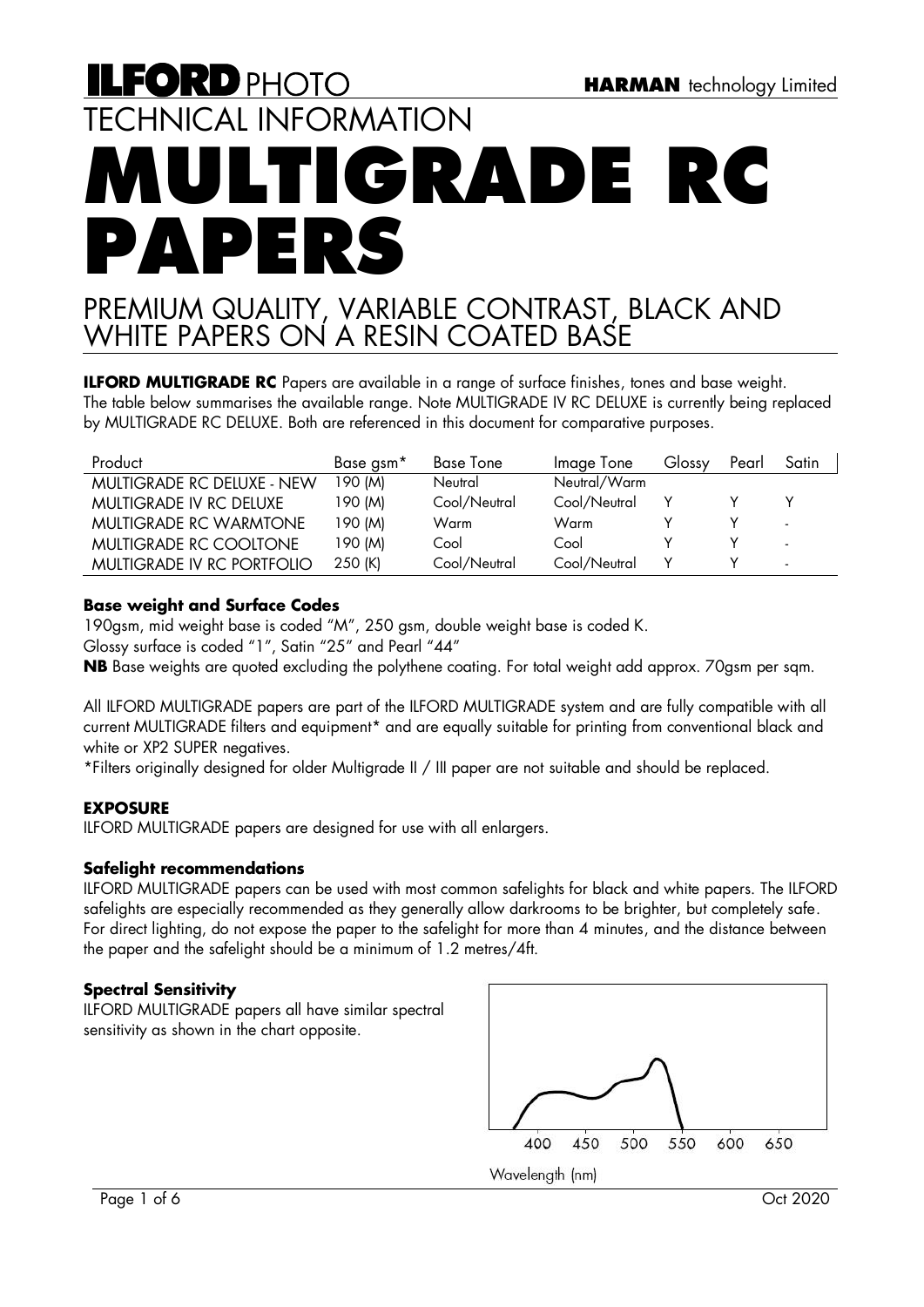# **ILFORD PHOTO** TECHNICAL INFORMATION **MULTIGRADE RG PAPERS**

# PREMIUM QUALITY, VARIABLE CONTRAST, BLACK AND WHITE PAPERS ON A RESIN COATED BASE

**ILFORD MULTIGRADE RC** Papers are available in a range of surface finishes, tones and base weight. The table below summarises the available range. Note MULTIGRADE IV RC DELUXE is currently being replaced by MULTIGRADE RC DELUXE. Both are referenced in this document for comparative purposes.

| Product                           | Base gsm <sup>*</sup> | <b>Base Tone</b> | Image Tone   | Glossy | Pearl | Satin                    |
|-----------------------------------|-----------------------|------------------|--------------|--------|-------|--------------------------|
| MULTIGRADE RC DELUXE - NEW        | 190 (M)               | Neutral          | Neutral/Warm |        |       |                          |
| MULTIGRADE IV RC DELUXE           | 190 (M)               | Cool/Neutral     | Cool/Neutral |        |       |                          |
| <b>MULTIGRADE RC WARMTONE</b>     | 190 (M)               | Warm             | Warm         |        |       | ۰.                       |
| MULTIGRADE RC COOLTONE            | 190 (M)               | Cool             | Cool         |        |       | $\sim$                   |
| <b>MULTIGRADE IV RC PORTFOLIO</b> | 250 (K)               | Cool/Neutral     | Cool/Neutral |        |       | $\overline{\phantom{a}}$ |

# **Base weight and Surface Codes**

190gsm, mid weight base is coded "M", 250 gsm, double weight base is coded K.

Glossy surface is coded "1", Satin "25" and Pearl "44"

**NB** Base weights are quoted excluding the polythene coating. For total weight add approx. 70gsm per sqm.

All ILFORD MULTIGRADE papers are part of the ILFORD MULTIGRADE system and are fully compatible with all current MULTIGRADE filters and equipment\* and are equally suitable for printing from conventional black and white or XP2 SUPER negatives.

\*Filters originally designed for older Multigrade II / III paper are not suitable and should be replaced.

# **EXPOSURE**

ILFORD MULTIGRADE papers are designed for use with all enlargers.

# **Safelight recommendations**

ILFORD MULTIGRADE papers can be used with most common safelights for black and white papers. The ILFORD safelights are especially recommended as they generally allow darkrooms to be brighter, but completely safe. For direct lighting, do not expose the paper to the safelight for more than 4 minutes, and the distance between the paper and the safelight should be a minimum of 1.2 metres/4ft.

# **Spectral Sensitivity**

ILFORD MULTIGRADE papers all have similar spectral sensitivity as shown in the chart opposite.

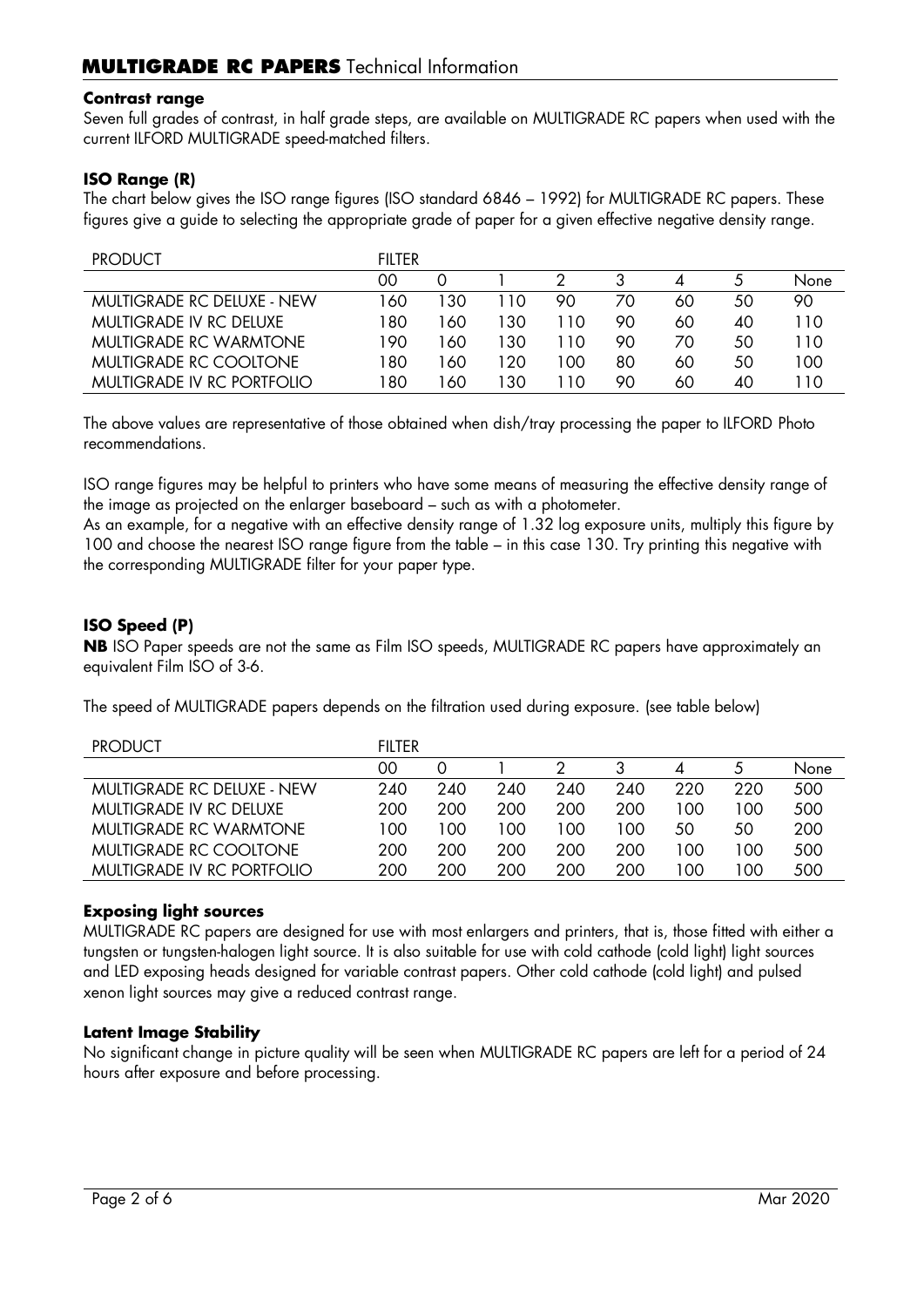#### **Contrast range**

Seven full grades of contrast, in half grade steps, are available on MULTIGRADE RC papers when used with the current ILFORD MULTIGRADE speed-matched filters.

# **ISO Range (R)**

The chart below gives the ISO range figures (ISO standard 6846 – 1992) for MULTIGRADE RC papers. These figures give a guide to selecting the appropriate grade of paper for a given effective negative density range.

| <b>PRODUCT</b>                    | <b>FIITER</b> |     |     |       |    |    |    |      |
|-----------------------------------|---------------|-----|-----|-------|----|----|----|------|
|                                   | OO.           |     |     |       |    |    |    | None |
| <b>MULTIGRADE RC DELUXE - NEW</b> | 60            | 30  | 110 | 90    | 70 | 60 | 50 | 90   |
| MULTIGRADE IV RC DELUXE           | 80 ا          | 60  | 130 | 11 O  | 90 | 60 | 40 | 110  |
| <b>MULTIGRADE RC WARMTONE</b>     | 190           | 60  | 130 | l 10  | 90 | 70 | 50 | 110  |
| MUITIGRADE RC COOITONE            | 80            | 60' | 120 | 100   | 80 | 60 | 50 | 100  |
| MULTIGRADE IV RC PORTFOLIO        | 80            | 60  | 130 | ∣ 1 O | 90 | 60 | 40 | 10   |

The above values are representative of those obtained when dish/tray processing the paper to ILFORD Photo recommendations.

ISO range figures may be helpful to printers who have some means of measuring the effective density range of the image as projected on the enlarger baseboard – such as with a photometer.

As an example, for a negative with an effective density range of 1.32 log exposure units, multiply this figure by 100 and choose the nearest ISO range figure from the table – in this case 130. Try printing this negative with the corresponding MULTIGRADE filter for your paper type.

# **ISO Speed (P)**

**NB** ISO Paper speeds are not the same as Film ISO speeds, MULTIGRADE RC papers have approximately an equivalent Film ISO of 3-6.

The speed of MULTIGRADE papers depends on the filtration used during exposure. (see table below)

| <b>PRODUCT</b>                    | FILTER |     |     |     |     |     |     |      |
|-----------------------------------|--------|-----|-----|-----|-----|-----|-----|------|
|                                   | OΟ     | O)  |     |     |     |     |     | None |
| <b>MULTIGRADE RC DELUXE - NEW</b> | 240    | 240 | 240 | 240 | 240 | 220 | 220 | 500  |
| MULTIGRADE IV RC DELUXE           | 200    | 200 | 200 | 200 | 200 | 00  | 100 | 500  |
| <b>MULTIGRADE RC WARMTONE</b>     | 100    | 100 | 100 | 100 | 100 | 50  | 50  | 200  |
| MULTIGRADE RC COOLTONE            | 200    | 200 | 200 | 200 | 200 | 00  | 100 | 500  |
| MULTIGRADE IV RC PORTFOLIO        | 200    | 200 | 200 | 200 | 200 | 00  | 00  | 500  |

#### **Exposing light sources**

MULTIGRADE RC papers are designed for use with most enlargers and printers, that is, those fitted with either a tungsten or tungsten-halogen light source. It is also suitable for use with cold cathode (cold light) light sources and LED exposing heads designed for variable contrast papers. Other cold cathode (cold light) and pulsed xenon light sources may give a reduced contrast range.

#### **Latent Image Stability**

No significant change in picture quality will be seen when MULTIGRADE RC papers are left for a period of 24 hours after exposure and before processing.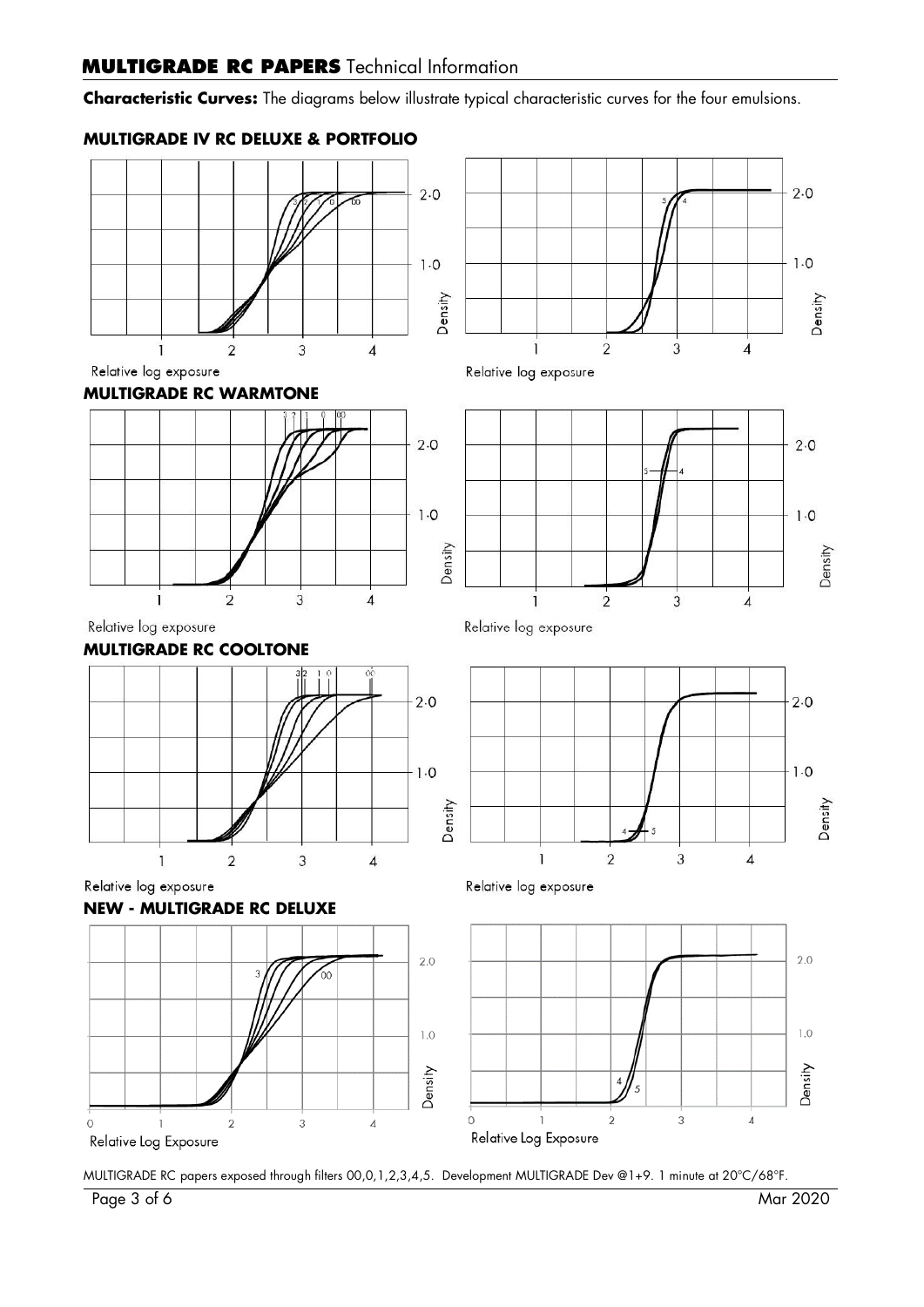# **MULTIGRADE RC PAPERS** Technical Information

**Characteristic Curves:** The diagrams below illustrate typical characteristic curves for the four emulsions.

# **MULTIGRADE IV RC DELUXE & PORTFOLIO**











 $1.0$ Density  $\overline{2}$  $\mathbf{I}$ 3  $\overline{4}$ 

Relative log exposure



Relative log exposure







Relative log exposure

 $\overline{1}$ 

Relative log exposure



 $\overline{2}$ 

 $\overline{3}$ 

MULTIGRADE RC papers exposed through filters 00,0,1,2,3,4,5. Development MULTIGRADE Dev @1+9. 1 minute at 20°C/68°F.

 $2.0$ 

 $2.0$ 

 $-1.0$ 

 $\overline{4}$ 

Density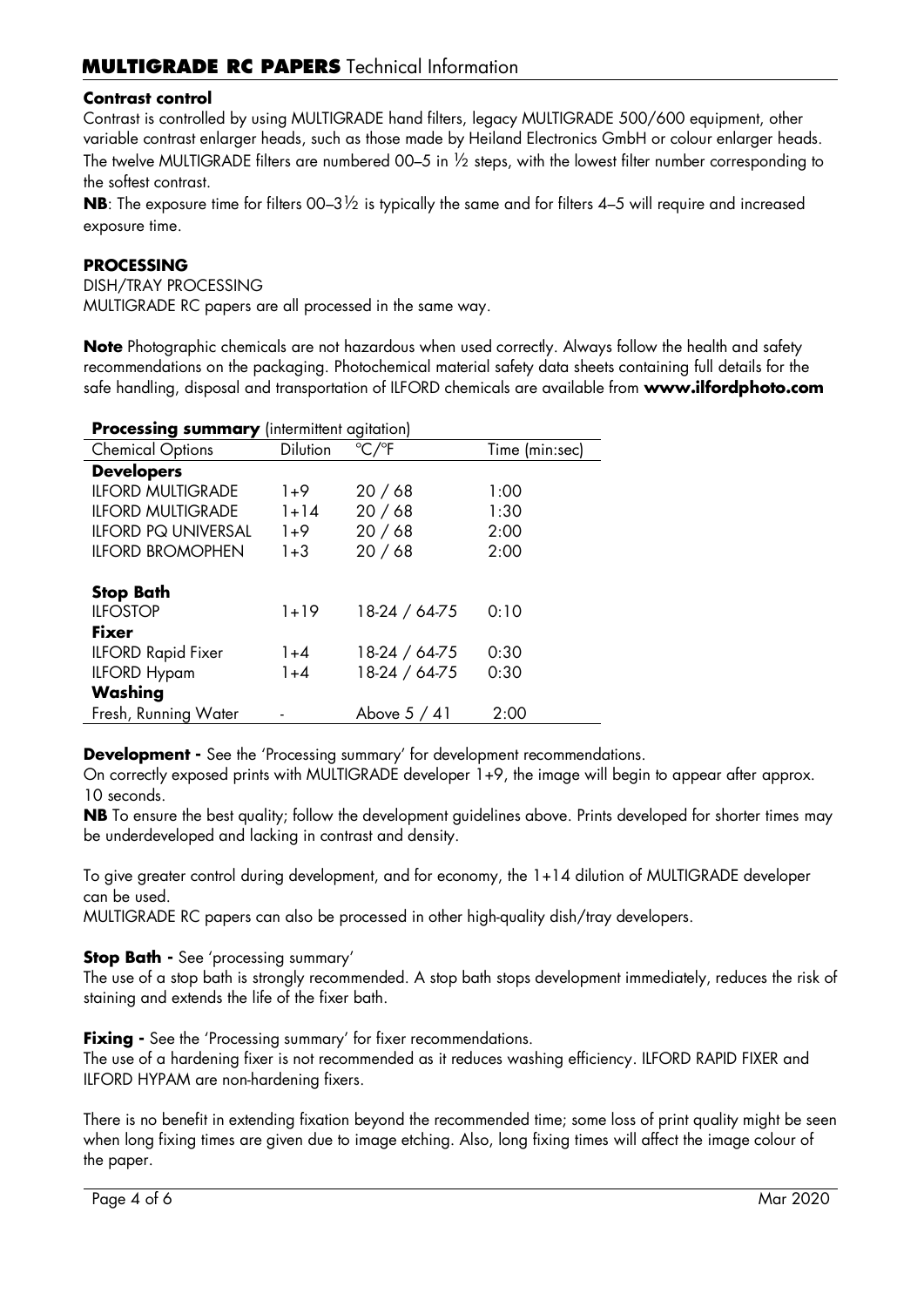#### **Contrast control**

Contrast is controlled by using MULTIGRADE hand filters, legacy MULTIGRADE 500/600 equipment, other variable contrast enlarger heads, such as those made by Heiland Electronics GmbH or colour enlarger heads. The twelve MULTIGRADE filters are numbered 00–5 in ½ steps, with the lowest filter number corresponding to the softest contrast.

**NB**: The exposure time for filters 00–3½ is typically the same and for filters 4–5 will require and increased exposure time.

#### **PROCESSING**

DISH/TRAY PROCESSING MULTIGRADE RC papers are all processed in the same way.

**Note** Photographic chemicals are not hazardous when used correctly. Always follow the health and safety recommendations on the packaging. Photochemical material safety data sheets containing full details for the safe handling, disposal and transportation of ILFORD chemicals are available from **www.ilfordphoto.com**

#### **Processing summary** (intermittent agitation)

| <b>Chemical Options</b>    | <b>Dilution</b> | $\mathrm{C}/\mathrm{P}$ F | Time (min:sec) |
|----------------------------|-----------------|---------------------------|----------------|
| <b>Developers</b>          |                 |                           |                |
| <b>ILFORD MULTIGRADE</b>   | $1+9$           | 20/68                     | 1:00           |
| <b>ILFORD MULTIGRADE</b>   | $1 + 14$        | 20/68                     | 1:30           |
| <b>ILFORD PQ UNIVERSAL</b> | $1+9$           | 20/68                     | 2:00           |
| <b>ILFORD BROMOPHEN</b>    | $1 + 3$         | 20/68                     | 2:00           |
|                            |                 |                           |                |
| <b>Stop Bath</b>           |                 |                           |                |
| <b>ILFOSTOP</b>            | $1 + 19$        | 18-24 / 64-75             | 0:10           |
| <b>Fixer</b>               |                 |                           |                |
| <b>ILFORD Rapid Fixer</b>  | $1 + 4$         | 18-24 / 64-75             | 0:30           |
| <b>ILFORD Hypam</b>        | $1 + 4$         | 18-24 / 64-75             | 0:30           |
| Washing                    |                 |                           |                |
| Fresh, Running Water       |                 | Above $5/41$              | 2:00           |

**Development -** See the 'Processing summary' for development recommendations.

On correctly exposed prints with MULTIGRADE developer 1+9, the image will begin to appear after approx. 10 seconds.

**NB** To ensure the best quality; follow the development guidelines above. Prints developed for shorter times may be underdeveloped and lacking in contrast and density.

To give greater control during development, and for economy, the 1+14 dilution of MULTIGRADE developer can be used.

MULTIGRADE RC papers can also be processed in other high-quality dish/tray developers.

**Stop Bath -** See 'processing summary'

The use of a stop bath is strongly recommended. A stop bath stops development immediately, reduces the risk of staining and extends the life of the fixer bath.

**Fixing** - See the 'Processing summary' for fixer recommendations.

The use of a hardening fixer is not recommended as it reduces washing efficiency. ILFORD RAPID FIXER and ILFORD HYPAM are non-hardening fixers.

There is no benefit in extending fixation beyond the recommended time; some loss of print quality might be seen when long fixing times are given due to image etching. Also, long fixing times will affect the image colour of the paper.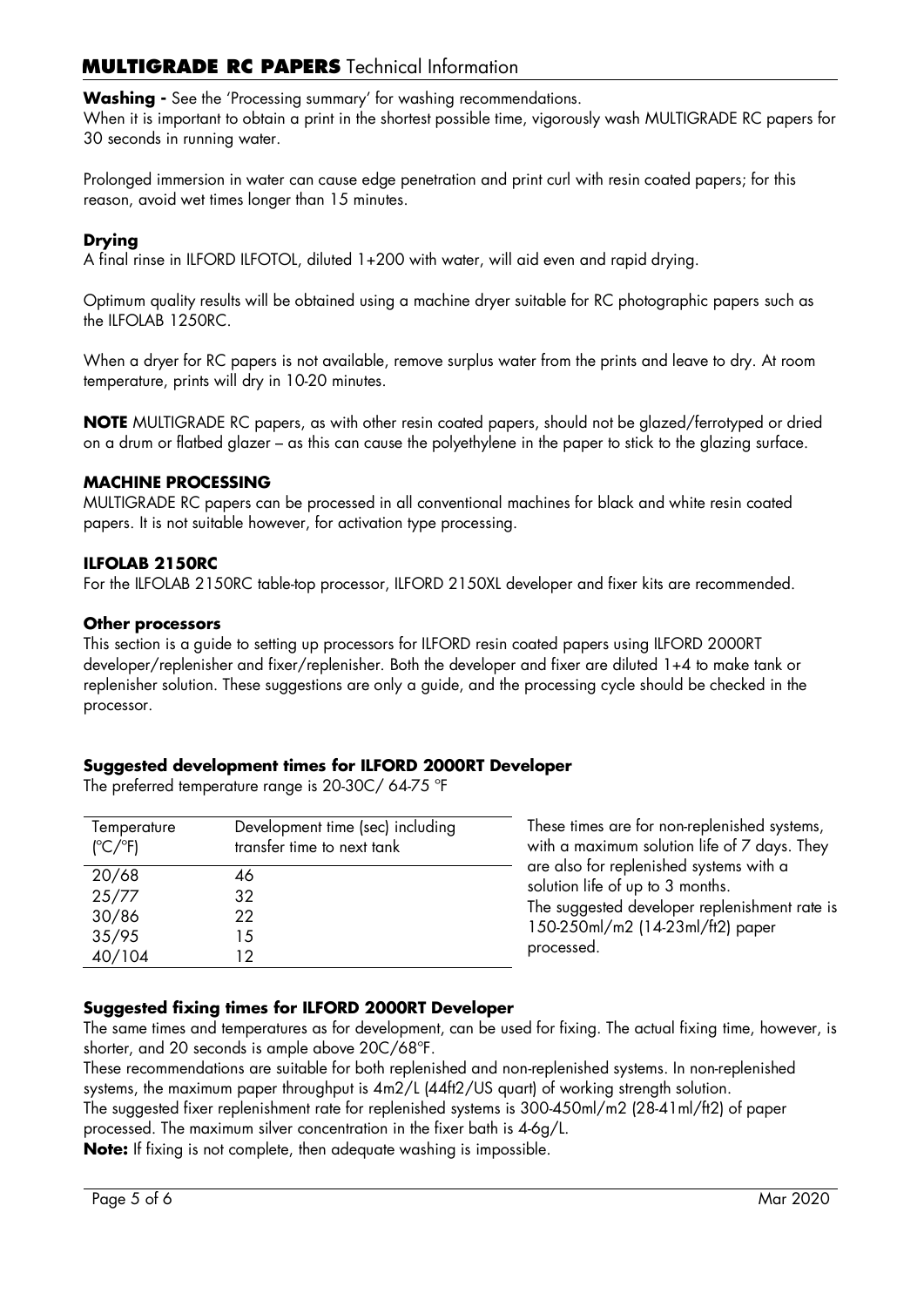# **MULTIGRADE RC PAPERS** Technical Information

**Washing -** See the 'Processing summary' for washing recommendations.

When it is important to obtain a print in the shortest possible time, vigorously wash MULTIGRADE RC papers for 30 seconds in running water.

Prolonged immersion in water can cause edge penetration and print curl with resin coated papers; for this reason, avoid wet times longer than 15 minutes.

# **Drying**

A final rinse in ILFORD ILFOTOL, diluted 1+200 with water, will aid even and rapid drying.

Optimum quality results will be obtained using a machine dryer suitable for RC photographic papers such as the ILFOLAB 1250RC.

When a dryer for RC papers is not available, remove surplus water from the prints and leave to dry. At room temperature, prints will dry in 10-20 minutes.

**NOTE** MULTIGRADE RC papers, as with other resin coated papers, should not be glazed/ferrotyped or dried on a drum or flatbed glazer – as this can cause the polyethylene in the paper to stick to the glazing surface.

#### **MACHINE PROCESSING**

MULTIGRADE RC papers can be processed in all conventional machines for black and white resin coated papers. It is not suitable however, for activation type processing.

#### **ILFOLAB 2150RC**

For the ILFOLAB 2150RC table-top processor, ILFORD 2150XL developer and fixer kits are recommended.

#### **Other processors**

This section is a guide to setting up processors for ILFORD resin coated papers using ILFORD 2000RT developer/replenisher and fixer/replenisher. Both the developer and fixer are diluted 1+4 to make tank or replenisher solution. These suggestions are only a guide, and the processing cycle should be checked in the processor.

#### **Suggested development times for ILFORD 2000RT Developer**

The preferred temperature range is 20-30C/ 64-75 ºF

| Temperature<br>$(^{\circ}C/^{\circ}F)$ | Development time (sec) including<br>transfer time to next tank | These times are for non-replenished systems,<br>with a maximum solution life of 7 days. They |
|----------------------------------------|----------------------------------------------------------------|----------------------------------------------------------------------------------------------|
| 20/68                                  | 46                                                             | are also for replenished systems with a<br>solution life of up to 3 months.                  |
| 25/77                                  | 32                                                             |                                                                                              |
| 30/86                                  | 22                                                             | The suggested developer replenishment rate is<br>150-250ml/m2 (14-23ml/ft2) paper            |
| 35/95                                  | 15                                                             |                                                                                              |
| 40/104                                 | 12                                                             | processed.                                                                                   |

#### **Suggested fixing times for ILFORD 2000RT Developer**

The same times and temperatures as for development, can be used for fixing. The actual fixing time, however, is shorter, and 20 seconds is ample above 20C/68ºF.

These recommendations are suitable for both replenished and non-replenished systems. In non-replenished systems, the maximum paper throughput is 4m2/L (44ft2/US quart) of working strength solution.

The suggested fixer replenishment rate for replenished systems is 300-450ml/m2 (28-41ml/ft2) of paper

processed. The maximum silver concentration in the fixer bath is 4-6g/L.

**Note:** If fixing is not complete, then adequate washing is impossible.